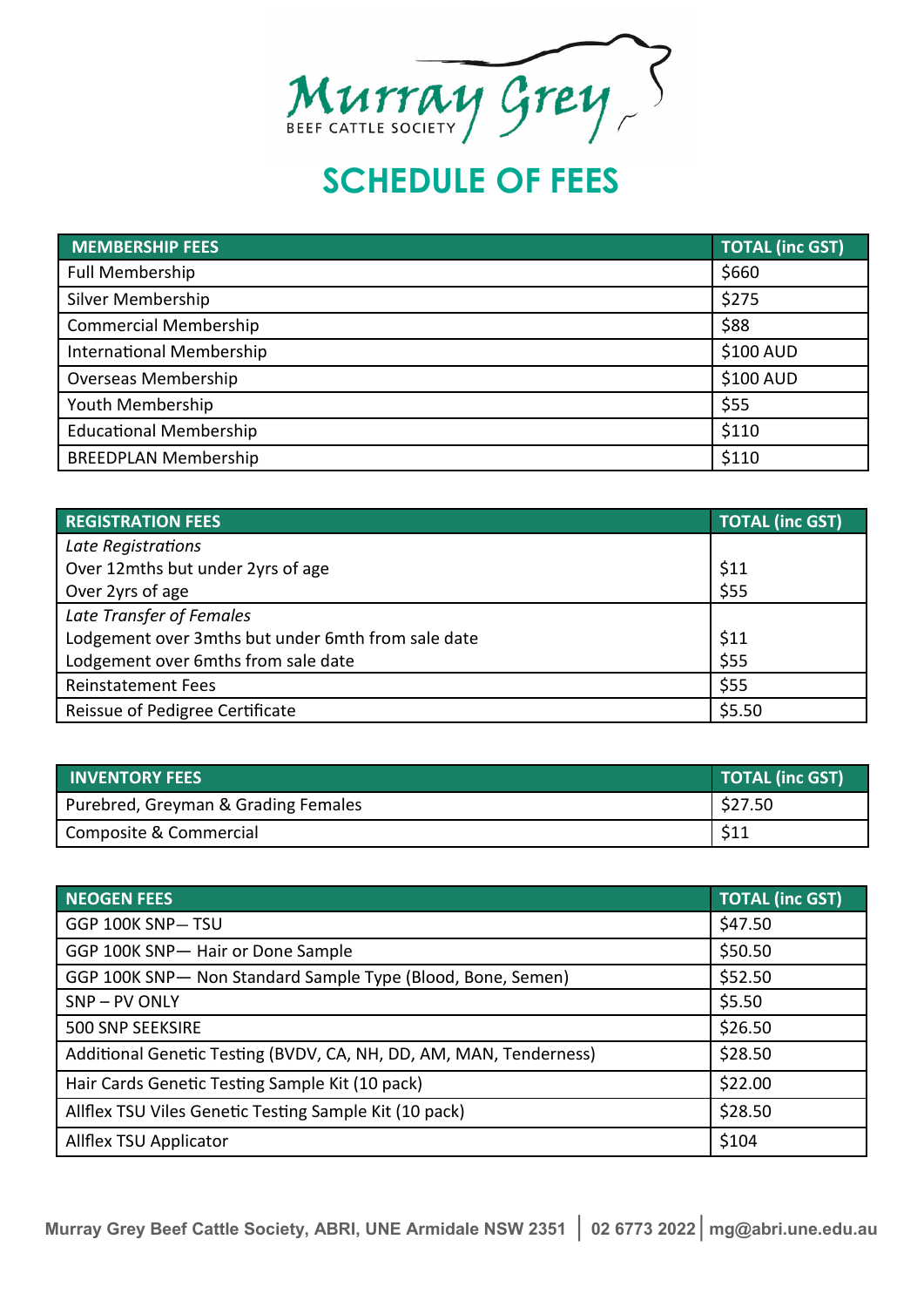

## **SCHEDULE OF FEES**

| <b>MEMBERSHIP FEES</b>          | <b>TOTAL (inc GST)</b> |
|---------------------------------|------------------------|
| <b>Full Membership</b>          | \$660                  |
| Silver Membership               | \$275                  |
| <b>Commercial Membership</b>    | \$88                   |
| <b>International Membership</b> | \$100 AUD              |
| <b>Overseas Membership</b>      | \$100 AUD              |
| Youth Membership                | \$55                   |
| <b>Educational Membership</b>   | \$110                  |
| <b>BREEDPLAN Membership</b>     | \$110                  |

| <b>REGISTRATION FEES</b>                           | <b>TOTAL (inc GST)</b> |
|----------------------------------------------------|------------------------|
| Late Registrations                                 |                        |
| Over 12mths but under 2yrs of age                  | \$11                   |
| Over 2yrs of age                                   | \$55                   |
| Late Transfer of Females                           |                        |
| Lodgement over 3mths but under 6mth from sale date | \$11                   |
| Lodgement over 6mths from sale date                | \$55                   |
| <b>Reinstatement Fees</b>                          | \$55                   |
| Reissue of Pedigree Certificate                    | \$5.50                 |

| <b>INVENTORY FEES</b>               | <b>TOTAL (inc GST)</b> |
|-------------------------------------|------------------------|
| Purebred, Greyman & Grading Females | $\frac{2527.50}{ }$    |
| Composite & Commercial              | \$11                   |

| <b>NEOGEN FEES</b>                                                 | <b>TOTAL (inc GST)</b> |
|--------------------------------------------------------------------|------------------------|
| GGP 100K SNP-TSU                                                   | \$47.50                |
| GGP 100K SNP- Hair or Done Sample                                  | \$50.50                |
| GGP 100K SNP- Non Standard Sample Type (Blood, Bone, Semen)        | \$52.50                |
| SNP-PV ONLY                                                        | \$5.50                 |
| 500 SNP SEEKSIRE                                                   | \$26.50                |
| Additional Genetic Testing (BVDV, CA, NH, DD, AM, MAN, Tenderness) | \$28.50                |
| Hair Cards Genetic Testing Sample Kit (10 pack)                    | \$22.00                |
| Allflex TSU Viles Genetic Testing Sample Kit (10 pack)             | \$28.50                |
| Allflex TSU Applicator                                             | \$104                  |